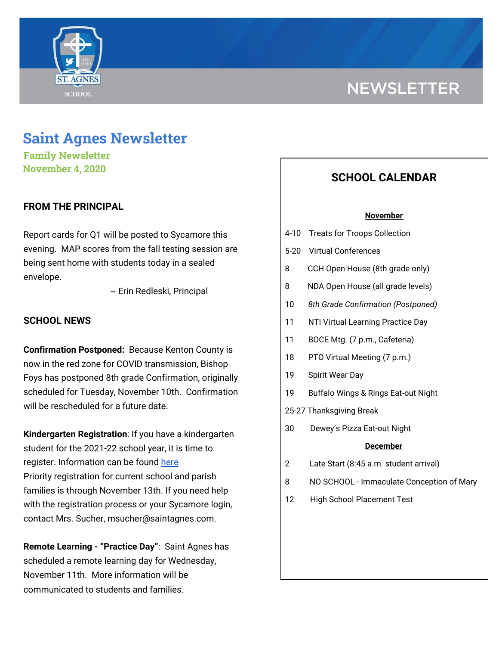

# **NEWSLETTER**

# **Saint Agnes Newsletter**

**Family Newsletter November 4, 2020**

# **FROM THE PRINCIPAL**

Report cards for Q1 will be posted to Sycamore this evening. MAP scores from the fall testing session are being sent home with students today in a sealed envelope.

~ Erin Redleski, Principal

### **SCHOOL NEWS**

**Confirmation Postponed:** Because Kenton County is now in the red zone for COVID transmission, Bishop Foys has postponed 8th grade Confirmation, originally scheduled for Tuesday, November 10th. Confirmation will be rescheduled for a future date.

**Kindergarten Registration**: If you have a kindergarten student for the 2021-22 school year, it is time to register. Information can be found [here](https://school.saintagnes.com/admission/) Priority registration for current school and parish families is through November 13th. If you need help with the registration process or your Sycamore login, contact Mrs. Sucher, msucher@saintagnes.com.

**Remote Learning - "Practice Day"**: Saint Agnes has scheduled a remote learning day for Wednesday, November 11th. More information will be communicated to students and families.

# **SCHOOL CALENDAR**

#### **November**

- 4-10 Treats for Troops Collection
- 5-20 Virtual Conferences
- 8 CCH Open House (8th grade only)
- 8 NDA Open House (all grade levels)
- 10 *8th Grade Confirmation (Postponed)*
- 11 NTI Virtual Learning Practice Day
- 11 BOCE Mtg. (7 p.m., Cafeteria)
- 18 PTO Virtual Meeting (7 p.m.)
- 19 Spirit Wear Day
- 19 Buffalo Wings & Rings Eat-out Night
- 25-27 Thanksgiving Break
- 30 Dewey's Pizza Eat-out Night

#### **December**

- 2 Late Start (8:45 a.m. student arrival)
- 8 NO SCHOOL Immaculate Conception of Mary
- 12 High School Placement Test